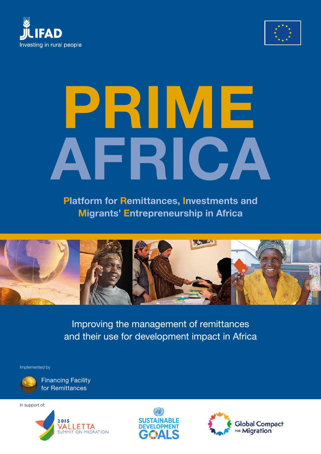



# PRIME AFRICA

Platform for Remittances, Investments and Migrants' Entrepreneurship in Africa



Improving the management of remittances and their use for development impact in Africa

Implemented by



Financing Facility for Remittances

In support of:





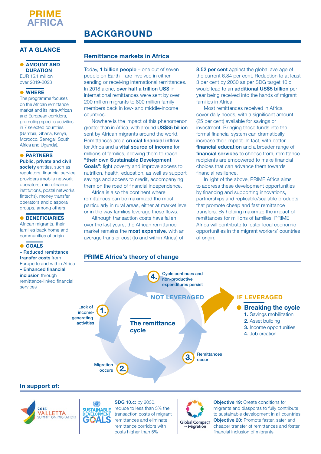

# BACKGROUND

### AT A GLANCE

### **AMOUNT AND DURATION** EUR 15.1 million

over 2019-2023

### $\bullet$  WHERE

The programme focuses on the African remittance market and its intra-African and European corridors, promoting specific activities in 7 selected countries (Gambia, Ghana, Kenya, Morocco, Senegal, South Africa and Uganda).

### **• PARTNERS**

Public, private and civil society entities, such as regulators, financial service providers (mobile network operators, microfinance institutions, postal networks, fintechs), money transfer operators and diaspora groups, among others.

### $\bullet$  BENEFICIARIES

African migrants, their families back home and communities of origin

### # GOALS

– Reduced remittance transfer costs from Europe to and within Africa – Enhanced financial inclusion through remittance-linked financial services

### Remittance markets in Africa

Today, 1 billion people – one out of seven people on Earth – are involved in either sending or receiving international remittances. In 2018 alone, over half a trillion US\$ in international remittances were sent by over 200 million migrants to 800 million family members back in low- and middle-income countries.

Nowhere is the impact of this phenomenon greater than in Africa, with around US\$85 billion sent by African migrants around the world. Remittances are a crucial financial inflow for Africa and a vital source of income for millions of families, allowing them to reach "their own Sustainable Development Goals": fight poverty and improve access to nutrition, health, education, as well as support savings and access to credit, accompanying them on the road of financial independence.

Africa is also the continent where remittances can be maximized the most, particularly in rural areas, either at market level or in the way families leverage these flows.

Although transaction costs have fallen over the last years, the African remittance market remains the **most expensive**, with an average transfer cost (to and within Africa) of

8.52 per cent against the global average of the current 6.84 per cent. Reduction to at least 3 per cent by 2030 as per SDG target 10.c would lead to an additional US\$5 billion per year being received into the hands of migrant families in Africa.

Most remittances received in Africa cover daily needs, with a significant amount (25 per cent) available for savings or investment. Bringing these funds into the formal financial system can dramatically increase their impact. In fact, with better financial education and a broader range of financial services to choose from, remittance recipients are empowered to make financial choices that can advance them towards financial resilience.

In light of the above, PRIME Africa aims to address these development opportunities by financing and supporting innovations, partnerships and replicable/scalable products that promote cheap and fast remittance transfers. By helping maximize the impact of remittances for millions of families, PRIME Africa will contribute to foster local economic opportunities in the migrant workers' countries of origin.

### PRIME Africa's theory of change



### In support of:





SDG 10.c: by 2030, reduce to less than 3% the transaction costs of migrant remittances and eliminate remittance corridors with costs higher than 5%

**Global Compact** <sup>∞</sup> Migration

Objective 19: Create conditions for migrants and diasporas to fully contribute to sustainable development in all countries Objective 20: Promote faster, safer and cheaper transfer of remittances and foster financial inclusion of migrants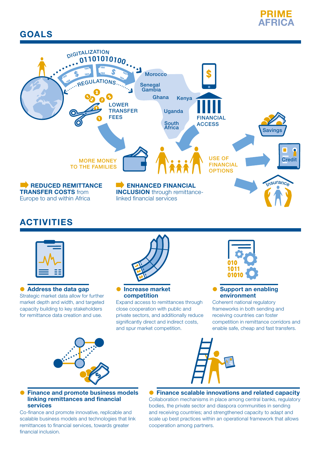# PRIME **AFRICA**

# GOALS



# ACTIVITIES



### • Address the data gap Strategic market data allow for further

market depth and width, and targeted capacity building to key stakeholders for remittance data creation and use.



### $\bullet$  Increase market competition

Expand access to remittances through close cooperation with public and private sectors, and additionally reduce significantly direct and indirect costs, and spur market competition.



### **Support an enabling** environment

Coherent national regulatory frameworks in both sending and receiving countries can foster competition in remittance corridors and enable safe, cheap and fast transfers.



### **• Finance and promote business models** linking remittances and financial services

Co-finance and promote innovative, replicable and scalable business models and technologies that link remittances to financial services, towards greater financial inclusion.



### **• Finance scalable innovations and related capacity** Collaboration mechanisms in place among central banks, regulatory bodies, the private sector and diaspora communities in sending and receiving countries; and strengthened capacity to adapt and scale up best practices within an operational framework that allows cooperation among partners.